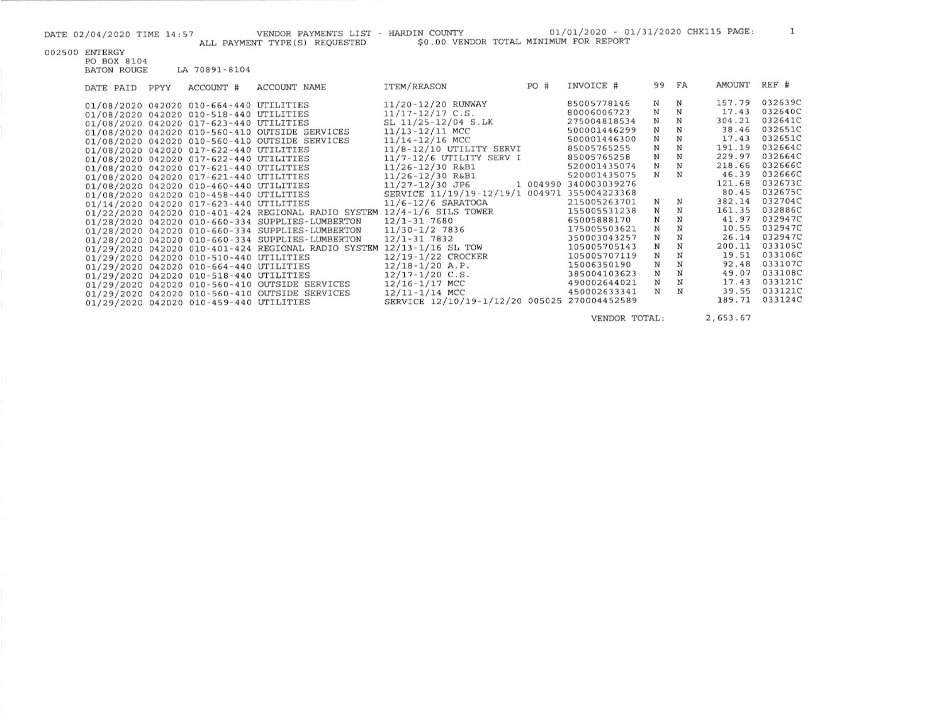|                    |                                         | ALL PAYMENT TYPE (S) REQUESTED                                          | DATE 02/04/2020 TIME 14:57 VENDOR PAYMENTS LIST - HARDIN COUNTY<br>\$0.00 VENDOR TOTAL MINIMUM FOR REPORT |     | 01/01/2020 - 01/31/2020 CHK115 PAGE: |             |             |              |                |
|--------------------|-----------------------------------------|-------------------------------------------------------------------------|-----------------------------------------------------------------------------------------------------------|-----|--------------------------------------|-------------|-------------|--------------|----------------|
| 002500 ENTERGY     |                                         |                                                                         |                                                                                                           |     |                                      |             |             |              |                |
| PO BOX 8104        |                                         |                                                                         |                                                                                                           |     |                                      |             |             |              |                |
| <b>BATON ROUGE</b> | LA 70891-8104                           |                                                                         |                                                                                                           |     |                                      |             |             |              |                |
|                    |                                         |                                                                         |                                                                                                           |     |                                      |             |             | AMOUNT REF # |                |
| DATE PAID PPYY     | ACCOUNT #                               | ACCOUNT NAME                                                            | ITEM/REASON                                                                                               | PO# | INVOICE #                            | 99 FA       |             |              |                |
|                    | 01/08/2020 042020 010-664-440 UTILITIES |                                                                         | 11/20-12/20 RUNWAY                                                                                        |     | 85005778146                          | N           | N           | 157.79       | 032639C        |
|                    | 01/08/2020 042020 010-518-440 UTILITIES |                                                                         | $11/17 - 12/17$ C.S.                                                                                      |     | 80006006723                          | $_{\rm N}$  | $\mathbf N$ | 17.43        | 032640C        |
|                    | 01/08/2020 042020 017-623-440 UTILITIES |                                                                         | SL 11/25-12/04 S.LK                                                                                       |     | 275004818534                         | ${\bf N}$   | N           | 304.21       | 032641C        |
|                    |                                         | 01/08/2020 042020 010-560-410 OUTSIDE SERVICES                          | 11/13-12/11 MCC                                                                                           |     | 500001446299                         | $_{\rm N}$  | N           |              | 38.46 032651C  |
|                    |                                         | 01/08/2020 042020 010-560-410 OUTSIDE SERVICES                          | 11/14-12/16 MCC                                                                                           |     | 500001446300                         | $\mathbf N$ | N           | 17.43        | 032651C        |
|                    | 01/08/2020 042020 017-622-440 UTILITIES |                                                                         | 11/8-12/10 UTILITY SERVI                                                                                  |     | 85005765255                          | N           | N           | 191.19       | 032664C        |
|                    | 01/08/2020 042020 017-622-440 UTILITIES |                                                                         | $11/7 - 12/6$ UTILITY SERV I                                                                              |     | 85005765258                          | $\mathbb N$ | N           | 229.97       | 032664C        |
|                    | 01/08/2020 042020 017-621-440 UTILITIES |                                                                         | 11/26-12/30 R&B1                                                                                          |     | 520001435074                         | $_{\rm N}$  | N           |              | 218.66 032666C |
|                    | 01/08/2020 042020 017-621-440 UTILITIES |                                                                         | 11/26-12/30 R&B1                                                                                          |     | 520001435075                         | N           | N           | 46.39        | 032666C        |
|                    | 01/08/2020 042020 010-460-440 UTILITIES |                                                                         | 11/27-12/30 JP6                                                                                           |     | 1 004990 340003039276                |             |             | 121.68       | 032673C        |
|                    | 01/08/2020 042020 010-458-440 UTILITIES |                                                                         | SERVICE 11/19/19-12/19/1 004971 355004223368                                                              |     |                                      |             |             | 80.45        | 032675C        |
|                    | 01/14/2020 042020 017-623-440 UTILITIES |                                                                         | $11/6 - 12/6$ SARATOGA                                                                                    |     | 215005263701                         | $_{\rm N}$  | N           | 382.14       | 032704C        |
|                    |                                         | 01/22/2020 042020 010-401-424 REGIONAL RADIO SYSTEM 12/4-1/6 SILS TOWER |                                                                                                           |     | 155005531238                         | $_{\rm N}$  | N           | 161.35       | 032886C        |
|                    |                                         | 01/28/2020 042020 010-660-334 SUPPLIES-LUMBERTON                        | 12/1-31 7680                                                                                              |     | 65005888170                          | $_{\rm N}$  | N           | 41.97        | 032947C        |
|                    |                                         | 01/28/2020 042020 010-660-334 SUPPLIES-LUMBERTON                        | $11/30 - 1/2$ 7836                                                                                        |     | 175005503621                         | $_{\rm N}$  | N           | 10.55        | 032947C        |
|                    |                                         | 01/28/2020 042020 010-660-334 SUPPLIES-LUMBERTON                        | 12/1-31 7832                                                                                              |     | 350003043257                         | $_{\rm N}$  | N           | 26.14        | 032947C        |
|                    |                                         | 01/29/2020 042020 010-401-424 REGIONAL RADIO SYSTEM 12/13-1/16 SL TOW   |                                                                                                           |     | 105005705143                         | $_{\rm N}$  | N           | 200.11       | 033105C        |
|                    |                                         |                                                                         | $\alpha \alpha / \alpha \alpha$ $\alpha$ / $\alpha \alpha$ / $\alpha \alpha$ / $\alpha$                   |     | 105005707110 M                       |             | <b>BT</b>   |              | 19 51 0221060  |

12/19-1/22 CROCKER

SERVICE 12/10/19-1/12/20 005025 270004452589

 $12/18 - 1/20$  A.P.

 $12/17 - 1/20$  C.S.

12/16-1/17 MCC

 $12/11 - 1/14$  MCC

01/29/2020 042020 010-510-440 UTILITIES

01/29/2020 042020 010-664-440 UTILITIES

01/29/2020 042020 010-518-440 UTILITIES

01/29/2020 042020 010-459-440 UTILITIES

01/29/2020 042020 010-560-410 OUTSIDE SERVICES

01/29/2020 042020 010-560-410 OUTSIDE SERVICES

VENDOR TOTAL:

 ${\bf N}$   ${\bf N}$ 

 $N$   $N$ 

 $N$   $N$ 

105005707119 N N

15006350190

385004103623 490002644021 N N

450002633341

2,653.67

19.51 033106C

92.48 033107C

49.07 033108C

17.43 033121C

39.55 033121C

189.71 033124C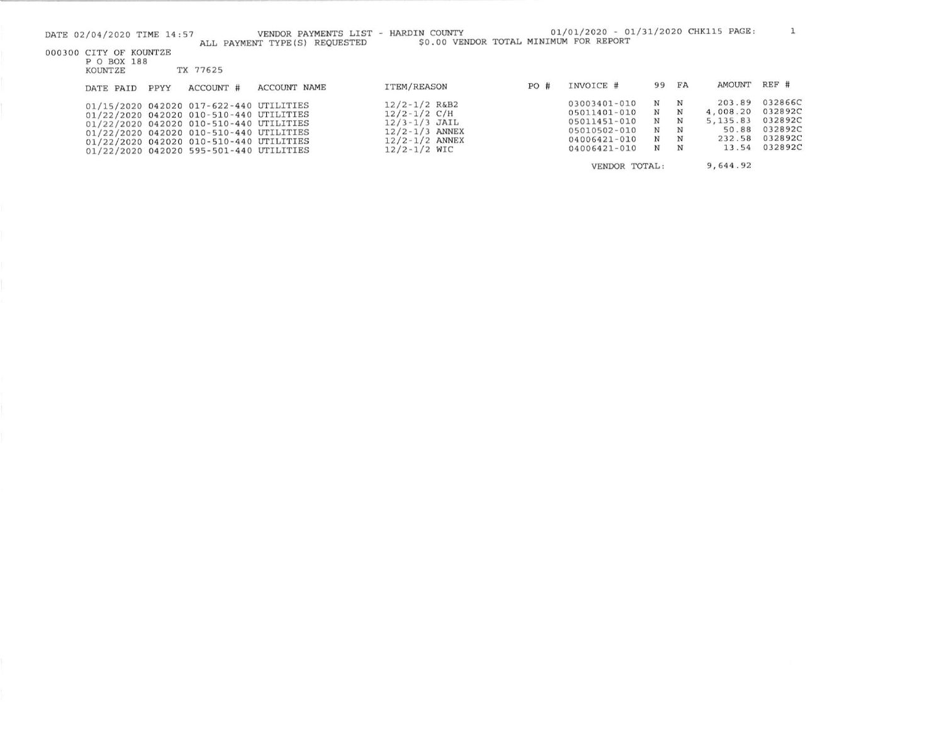| DATE 02/04/2020 TIME 14:57                       |      |                                                                                                                                                                                                                                                                | VENDOR PAYMENTS LIST - HARDIN COUNTY<br>ALL PAYMENT TYPE(S) REQUESTED | \$0.00 VENDOR TOTAL MINIMUM FOR REPORT                                                                                     |     | 01/01/2020 - 01/31/2020 CHK115 PAGE:                                                         |                            |                            |                                                             |                                                                |
|--------------------------------------------------|------|----------------------------------------------------------------------------------------------------------------------------------------------------------------------------------------------------------------------------------------------------------------|-----------------------------------------------------------------------|----------------------------------------------------------------------------------------------------------------------------|-----|----------------------------------------------------------------------------------------------|----------------------------|----------------------------|-------------------------------------------------------------|----------------------------------------------------------------|
| 000300 CITY OF KOUNTZE<br>P O BOX 188<br>KOUNTZE |      | TX 77625                                                                                                                                                                                                                                                       |                                                                       |                                                                                                                            |     |                                                                                              |                            |                            |                                                             |                                                                |
| DATE PAID                                        | PPYY | ACCOUNT #                                                                                                                                                                                                                                                      | <b>ACCOUNT NAME</b>                                                   | ITEM/REASON                                                                                                                | PO# | INVOICE #                                                                                    | 99                         | FA                         | AMOUNT                                                      | REF #                                                          |
|                                                  |      | 01/15/2020 042020 017-622-440 UTILITIES<br>01/22/2020 042020 010-510-440 UTILITIES<br>01/22/2020 042020 010-510-440 UTILITIES<br>01/22/2020 042020 010-510-440 UTILITIES<br>01/22/2020 042020 010-510-440 UTILITIES<br>01/22/2020 042020 595-501-440 UTILITIES |                                                                       | $12/2 - 1/2$ R&B2<br>$12/2 - 1/2$ C/H<br>$12/3 - 1/3$ JAIL<br>$12/2 - 1/3$ ANNEX<br>$12/2 - 1/2$ ANNEX<br>$12/2 - 1/2$ WIC |     | 03003401-010<br>05011401-010<br>05011451-010<br>05010502-010<br>04006421-010<br>04006421-010 | N<br>N<br>N<br>N<br>N<br>N | N<br>N<br>N<br>N<br>N<br>N | 203.89<br>4,008.20<br>5, 135.83<br>50.88<br>232.58<br>13.54 | 032866C<br>032892C<br>032892C<br>032892C<br>032892C<br>032892C |
|                                                  |      |                                                                                                                                                                                                                                                                |                                                                       |                                                                                                                            |     | VENDOR TOTAL:                                                                                |                            |                            | 9,644.92                                                    |                                                                |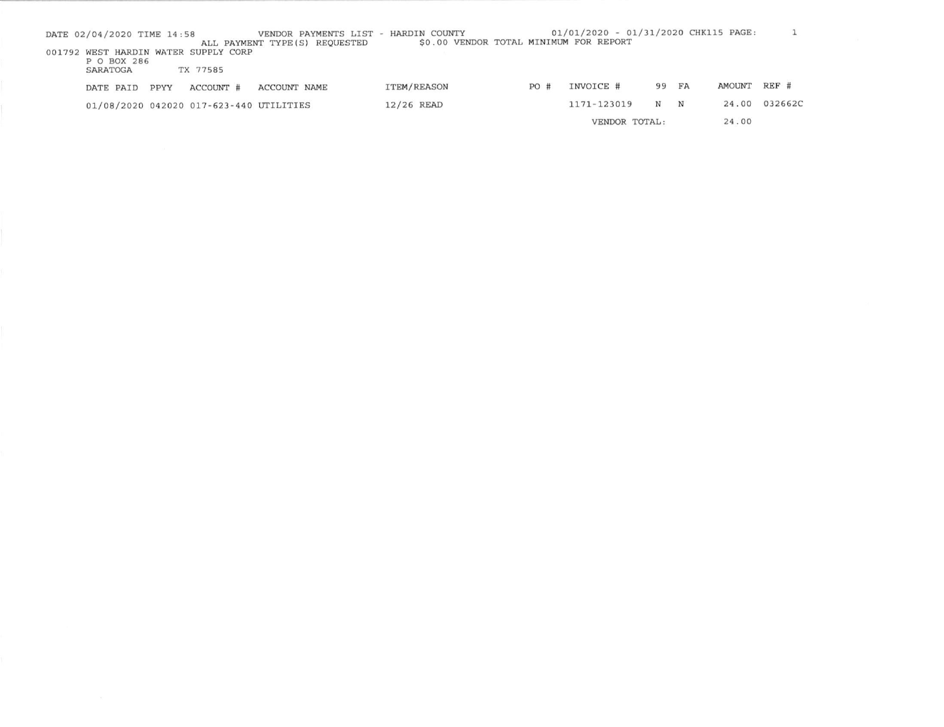| DATE 02/04/2020 TIME 14:58 |      |                                         | VENDOR PAYMENTS LIST - HARDIN COUNTY |                                        |     | 01/01/2020 - 01/31/2020 CHK115 PAGE: |       |             |              |         |
|----------------------------|------|-----------------------------------------|--------------------------------------|----------------------------------------|-----|--------------------------------------|-------|-------------|--------------|---------|
|                            |      |                                         | ALL PAYMENT TYPE (S) REQUESTED       | \$0.00 VENDOR TOTAL MINIMUM FOR REPORT |     |                                      |       |             |              |         |
|                            |      | 001792 WEST HARDIN WATER SUPPLY CORP    |                                      |                                        |     |                                      |       |             |              |         |
| P O BOX 286                |      |                                         |                                      |                                        |     |                                      |       |             |              |         |
| SARATOGA                   |      | TX 77585                                |                                      |                                        |     |                                      |       |             |              |         |
| DATE PAID                  | PPYY | ACCOUNT #                               | ACCOUNT NAME                         | ITEM/REASON                            | PO# | INVOICE #                            | 99 FA |             | AMOUNT REF # |         |
|                            |      | 01/08/2020 042020 017-623-440 UTILITIES |                                      | 12/26 READ                             |     | 1171-123019                          | N     | $\mathbf N$ | 24.00        | 032662C |
|                            |      |                                         |                                      |                                        |     | VENDOR TOTAL:                        |       |             | 24.00        |         |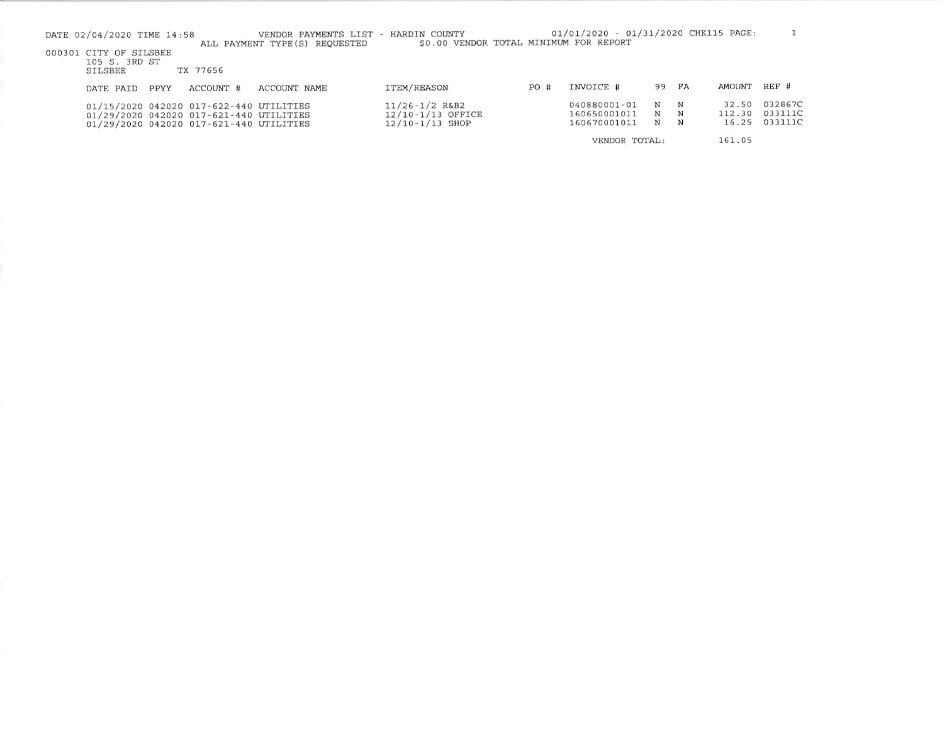| DATE 02/04/2020 TIME 14:58<br>000301 CITY OF SILSBEE<br>105 S. 3RD ST<br>SILSBEE |      | TX 77656                                                                                                                      | VENDOR PAYMENTS LIST - HARDIN COUNTY<br>ALL PAYMENT TYPE (S) REQUESTED | \$0.00 VENDOR TOTAL MINIMUM FOR REPORT                       |     | 01/01/2020 - 01/31/2020 CHK115 PAGE:         |             |             |                          |                               |
|----------------------------------------------------------------------------------|------|-------------------------------------------------------------------------------------------------------------------------------|------------------------------------------------------------------------|--------------------------------------------------------------|-----|----------------------------------------------|-------------|-------------|--------------------------|-------------------------------|
| DATE PAID                                                                        | PPYY | ACCOUNT #                                                                                                                     | ACCOUNT NAME                                                           | ITEM/REASON                                                  | PO# | INVOICE #                                    | 99          | FA          | <b>AMOUNT</b>            | REF #                         |
|                                                                                  |      | 01/15/2020 042020 017-622-440 UTILITIES<br>01/29/2020 042020 017-621-440 UTILITIES<br>01/29/2020 042020 017-621-440 UTILITIES |                                                                        | $11/26 - 1/2$ R&B2<br>12/10-1/13 OFFICE<br>$12/10-1/13$ SHOP |     | 040880001-01<br>160650001011<br>160670001011 | N<br>N<br>N | N<br>N<br>N | 32.50<br>112.30<br>16.25 | 032867C<br>033111C<br>033111C |
|                                                                                  |      |                                                                                                                               |                                                                        |                                                              |     | VENDOR TOTAL:                                |             |             | 161.05                   |                               |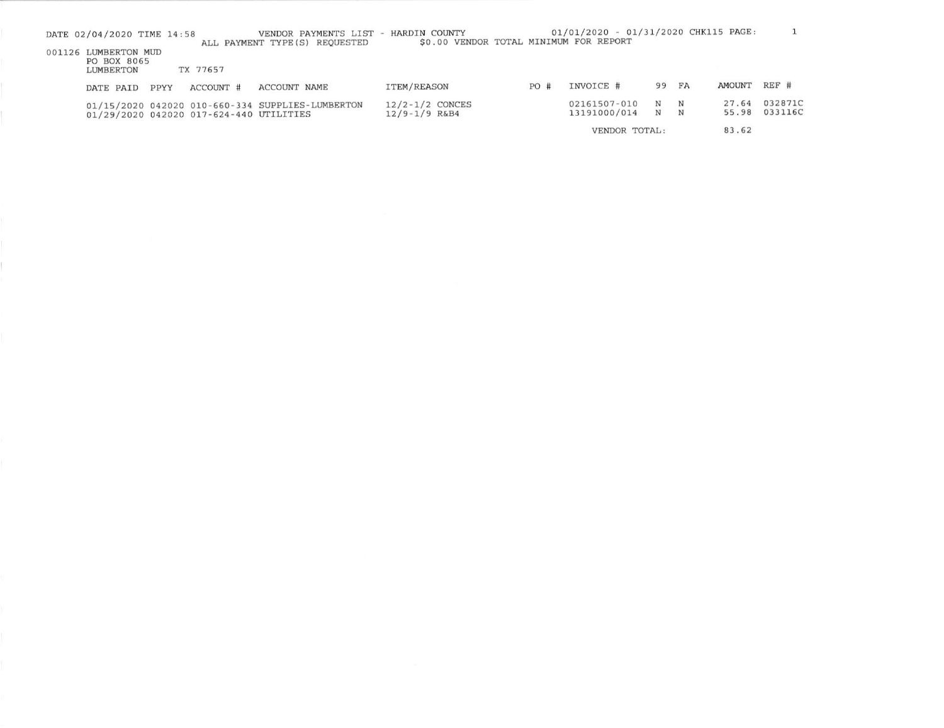| DATE 02/04/2020 TIME 14:58                       |      |                                         | VENDOR PAYMENTS LIST - HARDIN COUNTY<br>ALL PAYMENT TYPE (S) REOUESTED | \$0.00 VENDOR TOTAL MINIMUM FOR REPORT   |     | 01/01/2020 - 01/31/2020 CHK115 PAGE: |        |           |                |                    |
|--------------------------------------------------|------|-----------------------------------------|------------------------------------------------------------------------|------------------------------------------|-----|--------------------------------------|--------|-----------|----------------|--------------------|
| 001126 LUMBERTON MUD<br>PO BOX 8065<br>LUMBERTON |      | TX 77657                                |                                                                        |                                          |     |                                      |        |           |                |                    |
| DATE PAID                                        | PPYY | ACCOUNT #                               | ACCOUNT NAME                                                           | <b>ITEM/REASON</b>                       | PO# | INVOICE #                            | 99     | <b>FA</b> | AMOUNT         | REF #              |
|                                                  |      | 01/29/2020 042020 017-624-440 UTILITIES | 01/15/2020 042020 010-660-334 SUPPLIES-LUMBERTON                       | $12/2 - 1/2$ CONCES<br>$12/9 - 1/9$ R&B4 |     | 02161507-010<br>13191000/014         | N<br>N | N<br>N    | 27.64<br>55.98 | 032871C<br>033116C |
|                                                  |      |                                         |                                                                        |                                          |     | VENDOR TOTAL:                        |        |           | 83.62          |                    |